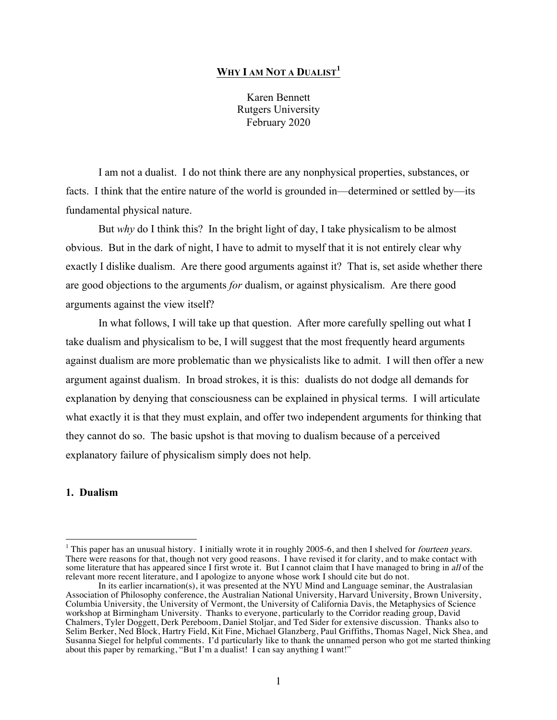# **WHY I AM NOT A DUALIST<sup>1</sup>**

Karen Bennett Rutgers University February 2020

I am not a dualist. I do not think there are any nonphysical properties, substances, or facts. I think that the entire nature of the world is grounded in—determined or settled by—its fundamental physical nature.

But *why* do I think this? In the bright light of day, I take physicalism to be almost obvious. But in the dark of night, I have to admit to myself that it is not entirely clear why exactly I dislike dualism. Are there good arguments against it? That is, set aside whether there are good objections to the arguments *for* dualism, or against physicalism. Are there good arguments against the view itself?

In what follows, I will take up that question. After more carefully spelling out what I take dualism and physicalism to be, I will suggest that the most frequently heard arguments against dualism are more problematic than we physicalists like to admit. I will then offer a new argument against dualism. In broad strokes, it is this: dualists do not dodge all demands for explanation by denying that consciousness can be explained in physical terms. I will articulate what exactly it is that they must explain, and offer two independent arguments for thinking that they cannot do so. The basic upshot is that moving to dualism because of a perceived explanatory failure of physicalism simply does not help.

## **1. Dualism**

<sup>&</sup>lt;sup>1</sup> This paper has an unusual history. I initially wrote it in roughly 2005-6, and then I shelved for *fourteen years*. There were reasons for that, though not very good reasons. I have revised it for clarity, and to make contact with some literature that has appeared since I first wrote it. But I cannot claim that I have managed to bring in all of the relevant more recent literature, and I apologize to anyone whose work I should cite but do not.

In its earlier incarnation(s), it was presented at the NYU Mind and Language seminar, the Australasian Association of Philosophy conference, the Australian National University, Harvard University, Brown University, Columbia University, the University of Vermont, the University of California Davis, the Metaphysics of Science workshop at Birmingham University. Thanks to everyone, particularly to the Corridor reading group, David Chalmers, Tyler Doggett, Derk Pereboom, Daniel Stoljar, and Ted Sider for extensive discussion. Thanks also to Selim Berker, Ned Block, Hartry Field, Kit Fine, Michael Glanzberg, Paul Griffiths, Thomas Nagel, Nick Shea, and Susanna Siegel for helpful comments. I'd particularly like to thank the unnamed person who got me started thinking about this paper by remarking, "But I'm a dualist! I can say anything I want!"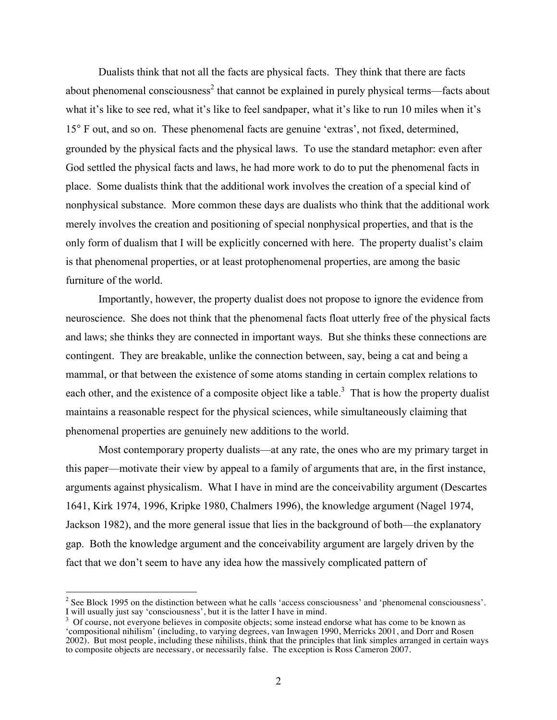Dualists think that not all the facts are physical facts. They think that there are facts about phenomenal consciousness<sup>2</sup> that cannot be explained in purely physical terms—facts about what it's like to see red, what it's like to feel sandpaper, what it's like to run 10 miles when it's 15° F out, and so on. These phenomenal facts are genuine 'extras', not fixed, determined, grounded by the physical facts and the physical laws. To use the standard metaphor: even after God settled the physical facts and laws, he had more work to do to put the phenomenal facts in place. Some dualists think that the additional work involves the creation of a special kind of nonphysical substance. More common these days are dualists who think that the additional work merely involves the creation and positioning of special nonphysical properties, and that is the only form of dualism that I will be explicitly concerned with here. The property dualist's claim is that phenomenal properties, or at least protophenomenal properties, are among the basic furniture of the world.

Importantly, however, the property dualist does not propose to ignore the evidence from neuroscience. She does not think that the phenomenal facts float utterly free of the physical facts and laws; she thinks they are connected in important ways. But she thinks these connections are contingent. They are breakable, unlike the connection between, say, being a cat and being a mammal, or that between the existence of some atoms standing in certain complex relations to each other, and the existence of a composite object like a table.<sup>3</sup> That is how the property dualist maintains a reasonable respect for the physical sciences, while simultaneously claiming that phenomenal properties are genuinely new additions to the world.

Most contemporary property dualists—at any rate, the ones who are my primary target in this paper—motivate their view by appeal to a family of arguments that are, in the first instance, arguments against physicalism. What I have in mind are the conceivability argument (Descartes 1641, Kirk 1974, 1996, Kripke 1980, Chalmers 1996), the knowledge argument (Nagel 1974, Jackson 1982), and the more general issue that lies in the background of both—the explanatory gap. Both the knowledge argument and the conceivability argument are largely driven by the fact that we don't seem to have any idea how the massively complicated pattern of

l

 $2$  See Block 1995 on the distinction between what he calls 'access consciousness' and 'phenomenal consciousness'. I will usually just say 'consciousness', but it is the latter I have in mind.

<sup>&</sup>lt;sup>3</sup> Of course, not everyone believes in composite objects; some instead endorse what has come to be known as 'compositional nihilism' (including, to varying degrees, van Inwagen 1990, Merricks 2001, and Dorr and Rosen 2002). But most people, including these nihilists, think that the principles that link simples arranged in certain ways to composite objects are necessary, or necessarily false. The exception is Ross Cameron 2007.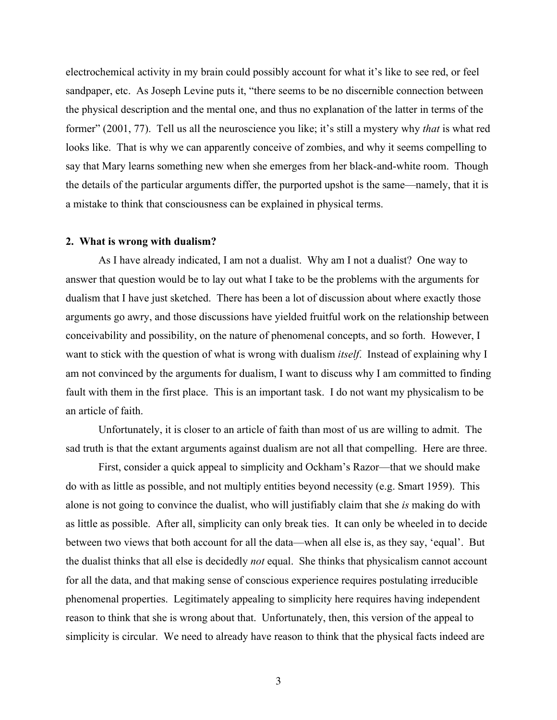electrochemical activity in my brain could possibly account for what it's like to see red, or feel sandpaper, etc. As Joseph Levine puts it, "there seems to be no discernible connection between the physical description and the mental one, and thus no explanation of the latter in terms of the former" (2001, 77). Tell us all the neuroscience you like; it's still a mystery why *that* is what red looks like. That is why we can apparently conceive of zombies, and why it seems compelling to say that Mary learns something new when she emerges from her black-and-white room. Though the details of the particular arguments differ, the purported upshot is the same—namely, that it is a mistake to think that consciousness can be explained in physical terms.

### **2. What is wrong with dualism?**

As I have already indicated, I am not a dualist. Why am I not a dualist? One way to answer that question would be to lay out what I take to be the problems with the arguments for dualism that I have just sketched. There has been a lot of discussion about where exactly those arguments go awry, and those discussions have yielded fruitful work on the relationship between conceivability and possibility, on the nature of phenomenal concepts, and so forth. However, I want to stick with the question of what is wrong with dualism *itself*. Instead of explaining why I am not convinced by the arguments for dualism, I want to discuss why I am committed to finding fault with them in the first place. This is an important task. I do not want my physicalism to be an article of faith.

Unfortunately, it is closer to an article of faith than most of us are willing to admit. The sad truth is that the extant arguments against dualism are not all that compelling. Here are three.

First, consider a quick appeal to simplicity and Ockham's Razor—that we should make do with as little as possible, and not multiply entities beyond necessity (e.g. Smart 1959). This alone is not going to convince the dualist, who will justifiably claim that she *is* making do with as little as possible. After all, simplicity can only break ties. It can only be wheeled in to decide between two views that both account for all the data—when all else is, as they say, 'equal'. But the dualist thinks that all else is decidedly *not* equal. She thinks that physicalism cannot account for all the data, and that making sense of conscious experience requires postulating irreducible phenomenal properties. Legitimately appealing to simplicity here requires having independent reason to think that she is wrong about that. Unfortunately, then, this version of the appeal to simplicity is circular. We need to already have reason to think that the physical facts indeed are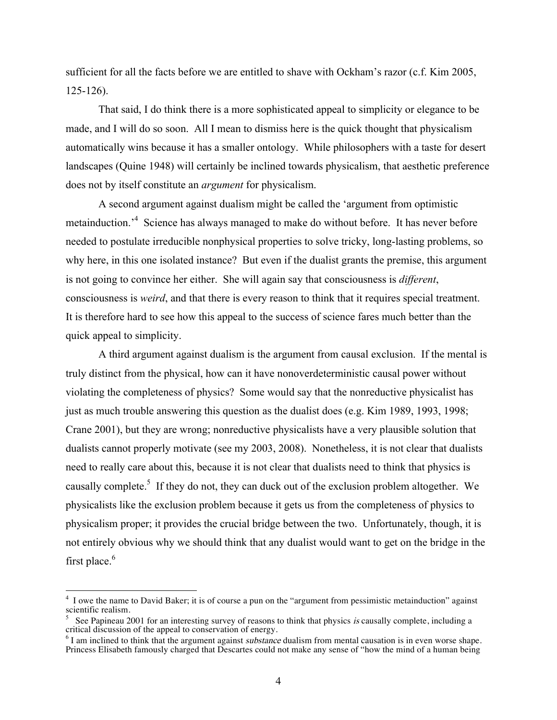sufficient for all the facts before we are entitled to shave with Ockham's razor (c.f. Kim 2005, 125-126).

That said, I do think there is a more sophisticated appeal to simplicity or elegance to be made, and I will do so soon. All I mean to dismiss here is the quick thought that physicalism automatically wins because it has a smaller ontology. While philosophers with a taste for desert landscapes (Quine 1948) will certainly be inclined towards physicalism, that aesthetic preference does not by itself constitute an *argument* for physicalism.

A second argument against dualism might be called the 'argument from optimistic metainduction.<sup>4</sup> Science has always managed to make do without before. It has never before needed to postulate irreducible nonphysical properties to solve tricky, long-lasting problems, so why here, in this one isolated instance? But even if the dualist grants the premise, this argument is not going to convince her either. She will again say that consciousness is *different*, consciousness is *weird*, and that there is every reason to think that it requires special treatment. It is therefore hard to see how this appeal to the success of science fares much better than the quick appeal to simplicity.

A third argument against dualism is the argument from causal exclusion. If the mental is truly distinct from the physical, how can it have nonoverdeterministic causal power without violating the completeness of physics? Some would say that the nonreductive physicalist has just as much trouble answering this question as the dualist does (e.g. Kim 1989, 1993, 1998; Crane 2001), but they are wrong; nonreductive physicalists have a very plausible solution that dualists cannot properly motivate (see my 2003, 2008). Nonetheless, it is not clear that dualists need to really care about this, because it is not clear that dualists need to think that physics is causally complete.<sup>5</sup> If they do not, they can duck out of the exclusion problem altogether. We physicalists like the exclusion problem because it gets us from the completeness of physics to physicalism proper; it provides the crucial bridge between the two. Unfortunately, though, it is not entirely obvious why we should think that any dualist would want to get on the bridge in the first place. $6$ 

 4 I owe the name to David Baker; it is of course a pun on the "argument from pessimistic metainduction" against scientific realism.<br> $\frac{5}{2}$  See Penineeu 20

 $5$  See Papineau 2001 for an interesting survey of reasons to think that physics *is* causally complete, including a critical discussion of the appeal to conservation of energy.

 $6$  I am inclined to think that the argument against *substance* dualism from mental causation is in even worse shape. Princess Elisabeth famously charged that Descartes could not make any sense of "how the mind of a human being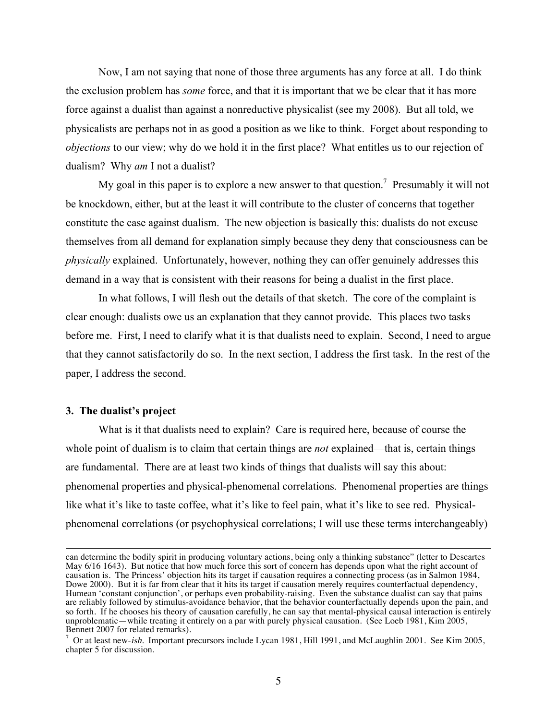Now, I am not saying that none of those three arguments has any force at all. I do think the exclusion problem has *some* force, and that it is important that we be clear that it has more force against a dualist than against a nonreductive physicalist (see my 2008). But all told, we physicalists are perhaps not in as good a position as we like to think. Forget about responding to *objections* to our view; why do we hold it in the first place? What entitles us to our rejection of dualism? Why *am* I not a dualist?

My goal in this paper is to explore a new answer to that question.<sup>7</sup> Presumably it will not be knockdown, either, but at the least it will contribute to the cluster of concerns that together constitute the case against dualism. The new objection is basically this: dualists do not excuse themselves from all demand for explanation simply because they deny that consciousness can be *physically* explained. Unfortunately, however, nothing they can offer genuinely addresses this demand in a way that is consistent with their reasons for being a dualist in the first place.

In what follows, I will flesh out the details of that sketch. The core of the complaint is clear enough: dualists owe us an explanation that they cannot provide. This places two tasks before me. First, I need to clarify what it is that dualists need to explain. Second, I need to argue that they cannot satisfactorily do so. In the next section, I address the first task. In the rest of the paper, I address the second.

# **3. The dualist's project**

What is it that dualists need to explain? Care is required here, because of course the whole point of dualism is to claim that certain things are *not* explained—that is, certain things are fundamental. There are at least two kinds of things that dualists will say this about: phenomenal properties and physical-phenomenal correlations. Phenomenal properties are things like what it's like to taste coffee, what it's like to feel pain, what it's like to see red. Physicalphenomenal correlations (or psychophysical correlations; I will use these terms interchangeably)

can determine the bodily spirit in producing voluntary actions, being only a thinking substance" (letter to Descartes May 6/16 1643). But notice that how much force this sort of concern has depends upon what the right account of causation is. The Princess' objection hits its target if causation requires a connecting process (as in Salmon 1984, Dowe 2000). But it is far from clear that it hits its target if causation merely requires counterfactual dependency, Humean 'constant conjunction', or perhaps even probability-raising. Even the substance dualist can say that pains are reliably followed by stimulus-avoidance behavior, that the behavior counterfactually depends upon the pain, and so forth. If he chooses his theory of causation carefully, he can say that mental-physical causal interaction is entirely unproblematic—while treating it entirely on a par with purely physical causation. (See Loeb 1981, Kim 2005, Bennett 2007 for related remarks).

 $^7$  Or at least new-ish. Important precursors include Lycan 1981, Hill 1991, and McLaughlin 2001. See Kim 2005, chapter 5 for discussion.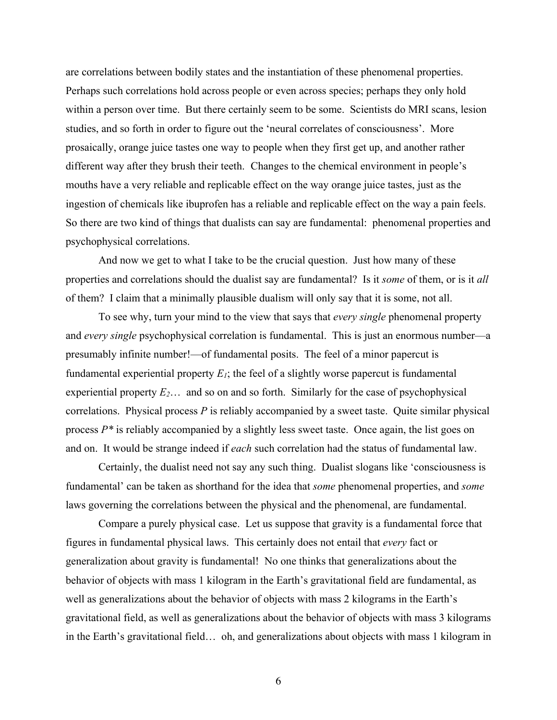are correlations between bodily states and the instantiation of these phenomenal properties. Perhaps such correlations hold across people or even across species; perhaps they only hold within a person over time. But there certainly seem to be some. Scientists do MRI scans, lesion studies, and so forth in order to figure out the 'neural correlates of consciousness'. More prosaically, orange juice tastes one way to people when they first get up, and another rather different way after they brush their teeth. Changes to the chemical environment in people's mouths have a very reliable and replicable effect on the way orange juice tastes, just as the ingestion of chemicals like ibuprofen has a reliable and replicable effect on the way a pain feels. So there are two kind of things that dualists can say are fundamental: phenomenal properties and psychophysical correlations.

And now we get to what I take to be the crucial question. Just how many of these properties and correlations should the dualist say are fundamental? Is it *some* of them, or is it *all* of them? I claim that a minimally plausible dualism will only say that it is some, not all.

To see why, turn your mind to the view that says that *every single* phenomenal property and *every single* psychophysical correlation is fundamental. This is just an enormous number—a presumably infinite number!—of fundamental posits. The feel of a minor papercut is fundamental experiential property  $E_l$ ; the feel of a slightly worse papercut is fundamental experiential property  $E_2$ ... and so on and so forth. Similarly for the case of psychophysical correlations. Physical process *P* is reliably accompanied by a sweet taste. Quite similar physical process  $P^*$  is reliably accompanied by a slightly less sweet taste. Once again, the list goes on and on. It would be strange indeed if *each* such correlation had the status of fundamental law.

Certainly, the dualist need not say any such thing. Dualist slogans like 'consciousness is fundamental' can be taken as shorthand for the idea that *some* phenomenal properties, and *some* laws governing the correlations between the physical and the phenomenal, are fundamental.

Compare a purely physical case. Let us suppose that gravity is a fundamental force that figures in fundamental physical laws. This certainly does not entail that *every* fact or generalization about gravity is fundamental! No one thinks that generalizations about the behavior of objects with mass 1 kilogram in the Earth's gravitational field are fundamental, as well as generalizations about the behavior of objects with mass 2 kilograms in the Earth's gravitational field, as well as generalizations about the behavior of objects with mass 3 kilograms in the Earth's gravitational field… oh, and generalizations about objects with mass 1 kilogram in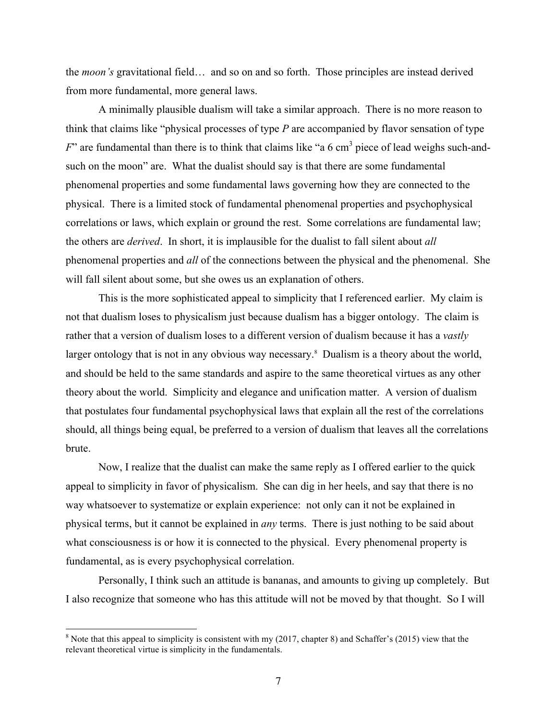the *moon's* gravitational field… and so on and so forth. Those principles are instead derived from more fundamental, more general laws.

A minimally plausible dualism will take a similar approach. There is no more reason to think that claims like "physical processes of type *P* are accompanied by flavor sensation of type  $F'$  are fundamental than there is to think that claims like "a 6 cm<sup>3</sup> piece of lead weighs such-andsuch on the moon" are. What the dualist should say is that there are some fundamental phenomenal properties and some fundamental laws governing how they are connected to the physical. There is a limited stock of fundamental phenomenal properties and psychophysical correlations or laws, which explain or ground the rest. Some correlations are fundamental law; the others are *derived*. In short, it is implausible for the dualist to fall silent about *all* phenomenal properties and *all* of the connections between the physical and the phenomenal. She will fall silent about some, but she owes us an explanation of others.

This is the more sophisticated appeal to simplicity that I referenced earlier. My claim is not that dualism loses to physicalism just because dualism has a bigger ontology. The claim is rather that a version of dualism loses to a different version of dualism because it has a *vastly* larger ontology that is not in any obvious way necessary.<sup>8</sup> Dualism is a theory about the world, and should be held to the same standards and aspire to the same theoretical virtues as any other theory about the world. Simplicity and elegance and unification matter. A version of dualism that postulates four fundamental psychophysical laws that explain all the rest of the correlations should, all things being equal, be preferred to a version of dualism that leaves all the correlations brute.

Now, I realize that the dualist can make the same reply as I offered earlier to the quick appeal to simplicity in favor of physicalism. She can dig in her heels, and say that there is no way whatsoever to systematize or explain experience: not only can it not be explained in physical terms, but it cannot be explained in *any* terms. There is just nothing to be said about what consciousness is or how it is connected to the physical. Every phenomenal property is fundamental, as is every psychophysical correlation.

Personally, I think such an attitude is bananas, and amounts to giving up completely. But I also recognize that someone who has this attitude will not be moved by that thought. So I will

 $8$  Note that this appeal to simplicity is consistent with my (2017, chapter 8) and Schaffer's (2015) view that the relevant theoretical virtue is simplicity in the fundamentals.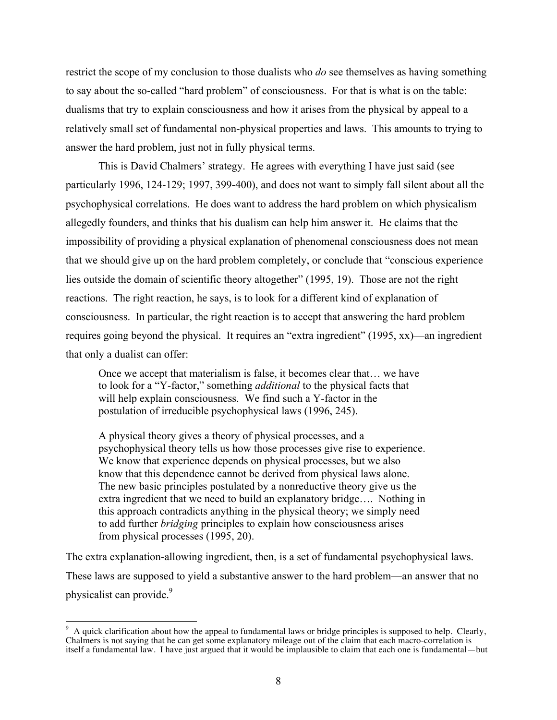restrict the scope of my conclusion to those dualists who *do* see themselves as having something to say about the so-called "hard problem" of consciousness. For that is what is on the table: dualisms that try to explain consciousness and how it arises from the physical by appeal to a relatively small set of fundamental non-physical properties and laws. This amounts to trying to answer the hard problem, just not in fully physical terms.

This is David Chalmers' strategy. He agrees with everything I have just said (see particularly 1996, 124-129; 1997, 399-400), and does not want to simply fall silent about all the psychophysical correlations. He does want to address the hard problem on which physicalism allegedly founders, and thinks that his dualism can help him answer it. He claims that the impossibility of providing a physical explanation of phenomenal consciousness does not mean that we should give up on the hard problem completely, or conclude that "conscious experience lies outside the domain of scientific theory altogether" (1995, 19). Those are not the right reactions. The right reaction, he says, is to look for a different kind of explanation of consciousness. In particular, the right reaction is to accept that answering the hard problem requires going beyond the physical. It requires an "extra ingredient" (1995, xx)—an ingredient that only a dualist can offer:

Once we accept that materialism is false, it becomes clear that… we have to look for a "Y-factor," something *additional* to the physical facts that will help explain consciousness. We find such a Y-factor in the postulation of irreducible psychophysical laws (1996, 245).

A physical theory gives a theory of physical processes, and a psychophysical theory tells us how those processes give rise to experience. We know that experience depends on physical processes, but we also know that this dependence cannot be derived from physical laws alone. The new basic principles postulated by a nonreductive theory give us the extra ingredient that we need to build an explanatory bridge…. Nothing in this approach contradicts anything in the physical theory; we simply need to add further *bridging* principles to explain how consciousness arises from physical processes (1995, 20).

The extra explanation-allowing ingredient, then, is a set of fundamental psychophysical laws. These laws are supposed to yield a substantive answer to the hard problem—an answer that no physicalist can provide.<sup>9</sup>

 $9\textdegree$  A quick clarification about how the appeal to fundamental laws or bridge principles is supposed to help. Clearly, Chalmers is not saying that he can get some explanatory mileage out of the claim that each macro-correlation is itself a fundamental law. I have just argued that it would be implausible to claim that each one is fundamental—but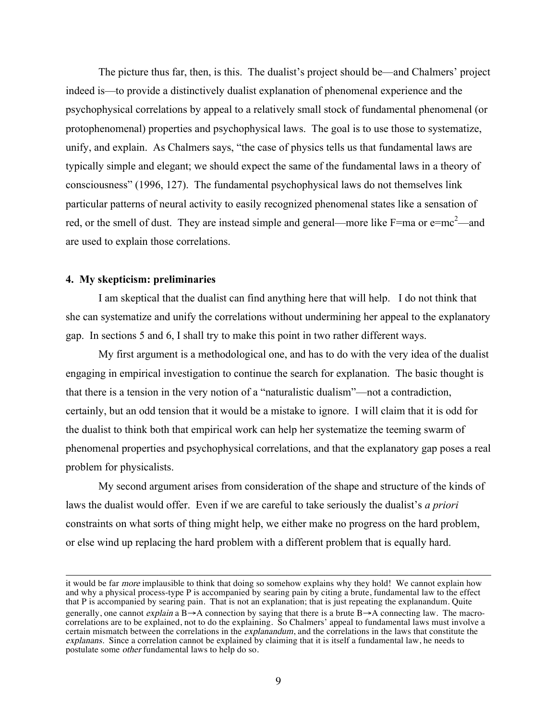The picture thus far, then, is this. The dualist's project should be—and Chalmers' project indeed is—to provide a distinctively dualist explanation of phenomenal experience and the psychophysical correlations by appeal to a relatively small stock of fundamental phenomenal (or protophenomenal) properties and psychophysical laws. The goal is to use those to systematize, unify, and explain. As Chalmers says, "the case of physics tells us that fundamental laws are typically simple and elegant; we should expect the same of the fundamental laws in a theory of consciousness" (1996, 127). The fundamental psychophysical laws do not themselves link particular patterns of neural activity to easily recognized phenomenal states like a sensation of red, or the smell of dust. They are instead simple and general—more like F=ma or  $e=mc^2$ —and are used to explain those correlations.

## **4. My skepticism: preliminaries**

I am skeptical that the dualist can find anything here that will help. I do not think that she can systematize and unify the correlations without undermining her appeal to the explanatory gap. In sections 5 and 6, I shall try to make this point in two rather different ways.

My first argument is a methodological one, and has to do with the very idea of the dualist engaging in empirical investigation to continue the search for explanation. The basic thought is that there is a tension in the very notion of a "naturalistic dualism"—not a contradiction, certainly, but an odd tension that it would be a mistake to ignore. I will claim that it is odd for the dualist to think both that empirical work can help her systematize the teeming swarm of phenomenal properties and psychophysical correlations, and that the explanatory gap poses a real problem for physicalists.

My second argument arises from consideration of the shape and structure of the kinds of laws the dualist would offer. Even if we are careful to take seriously the dualist's *a priori* constraints on what sorts of thing might help, we either make no progress on the hard problem, or else wind up replacing the hard problem with a different problem that is equally hard.

it would be far more implausible to think that doing so somehow explains why they hold! We cannot explain how and why a physical process-type P is accompanied by searing pain by citing a brute, fundamental law to the effect that P is accompanied by searing pain. That is not an explanation; that is just repeating the explanandum. Quite generally, one cannot explain a B→A connection by saying that there is a brute B→A connecting law. The macrocorrelations are to be explained, not to do the explaining. So Chalmers' appeal to fundamental laws must involve a certain mismatch between the correlations in the *explanandum*, and the correlations in the laws that constitute the explanans. Since a correlation cannot be explained by claiming that it is itself a fundamental law, he needs to postulate some other fundamental laws to help do so.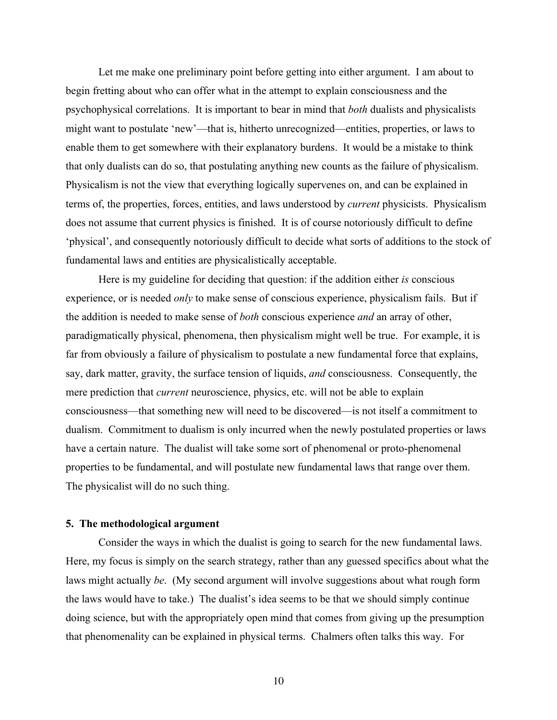Let me make one preliminary point before getting into either argument. I am about to begin fretting about who can offer what in the attempt to explain consciousness and the psychophysical correlations. It is important to bear in mind that *both* dualists and physicalists might want to postulate 'new'—that is, hitherto unrecognized—entities, properties, or laws to enable them to get somewhere with their explanatory burdens. It would be a mistake to think that only dualists can do so, that postulating anything new counts as the failure of physicalism. Physicalism is not the view that everything logically supervenes on, and can be explained in terms of, the properties, forces, entities, and laws understood by *current* physicists. Physicalism does not assume that current physics is finished. It is of course notoriously difficult to define 'physical', and consequently notoriously difficult to decide what sorts of additions to the stock of fundamental laws and entities are physicalistically acceptable.

Here is my guideline for deciding that question: if the addition either *is* conscious experience, or is needed *only* to make sense of conscious experience, physicalism fails. But if the addition is needed to make sense of *both* conscious experience *and* an array of other, paradigmatically physical, phenomena, then physicalism might well be true. For example, it is far from obviously a failure of physicalism to postulate a new fundamental force that explains, say, dark matter, gravity, the surface tension of liquids, *and* consciousness. Consequently, the mere prediction that *current* neuroscience, physics, etc. will not be able to explain consciousness—that something new will need to be discovered—is not itself a commitment to dualism. Commitment to dualism is only incurred when the newly postulated properties or laws have a certain nature. The dualist will take some sort of phenomenal or proto-phenomenal properties to be fundamental, and will postulate new fundamental laws that range over them. The physicalist will do no such thing.

### **5. The methodological argument**

Consider the ways in which the dualist is going to search for the new fundamental laws. Here, my focus is simply on the search strategy, rather than any guessed specifics about what the laws might actually *be*. (My second argument will involve suggestions about what rough form the laws would have to take.) The dualist's idea seems to be that we should simply continue doing science, but with the appropriately open mind that comes from giving up the presumption that phenomenality can be explained in physical terms. Chalmers often talks this way. For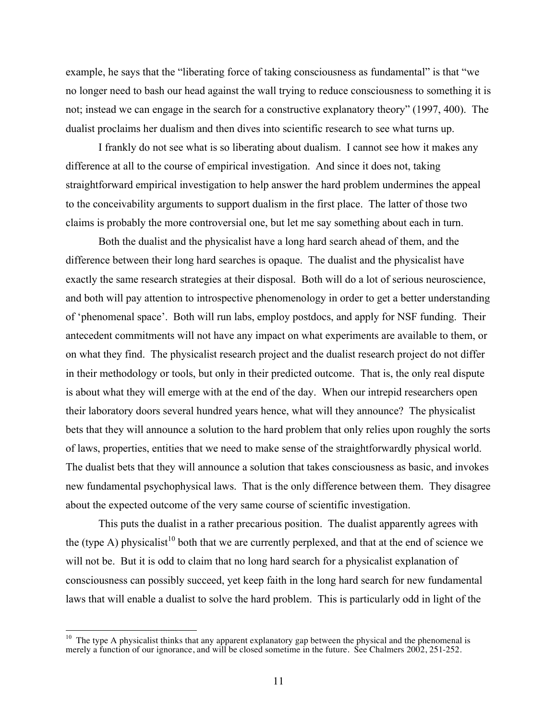example, he says that the "liberating force of taking consciousness as fundamental" is that "we no longer need to bash our head against the wall trying to reduce consciousness to something it is not; instead we can engage in the search for a constructive explanatory theory" (1997, 400). The dualist proclaims her dualism and then dives into scientific research to see what turns up.

I frankly do not see what is so liberating about dualism. I cannot see how it makes any difference at all to the course of empirical investigation. And since it does not, taking straightforward empirical investigation to help answer the hard problem undermines the appeal to the conceivability arguments to support dualism in the first place. The latter of those two claims is probably the more controversial one, but let me say something about each in turn.

Both the dualist and the physicalist have a long hard search ahead of them, and the difference between their long hard searches is opaque. The dualist and the physicalist have exactly the same research strategies at their disposal. Both will do a lot of serious neuroscience, and both will pay attention to introspective phenomenology in order to get a better understanding of 'phenomenal space'. Both will run labs, employ postdocs, and apply for NSF funding. Their antecedent commitments will not have any impact on what experiments are available to them, or on what they find. The physicalist research project and the dualist research project do not differ in their methodology or tools, but only in their predicted outcome. That is, the only real dispute is about what they will emerge with at the end of the day. When our intrepid researchers open their laboratory doors several hundred years hence, what will they announce? The physicalist bets that they will announce a solution to the hard problem that only relies upon roughly the sorts of laws, properties, entities that we need to make sense of the straightforwardly physical world. The dualist bets that they will announce a solution that takes consciousness as basic, and invokes new fundamental psychophysical laws. That is the only difference between them. They disagree about the expected outcome of the very same course of scientific investigation.

This puts the dualist in a rather precarious position. The dualist apparently agrees with the (type A) physicalist<sup>10</sup> both that we are currently perplexed, and that at the end of science we will not be. But it is odd to claim that no long hard search for a physicalist explanation of consciousness can possibly succeed, yet keep faith in the long hard search for new fundamental laws that will enable a dualist to solve the hard problem. This is particularly odd in light of the

l

 $10$  The type A physicalist thinks that any apparent explanatory gap between the physical and the phenomenal is merely a function of our ignorance, and will be closed sometime in the future. See Chalmers 2002, 251-252.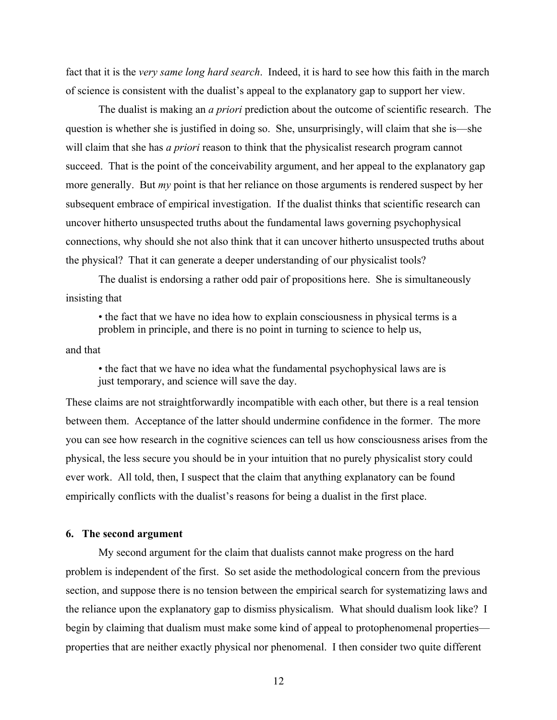fact that it is the *very same long hard search*. Indeed, it is hard to see how this faith in the march of science is consistent with the dualist's appeal to the explanatory gap to support her view.

The dualist is making an *a priori* prediction about the outcome of scientific research. The question is whether she is justified in doing so. She, unsurprisingly, will claim that she is—she will claim that she has *a priori* reason to think that the physicalist research program cannot succeed. That is the point of the conceivability argument, and her appeal to the explanatory gap more generally. But *my* point is that her reliance on those arguments is rendered suspect by her subsequent embrace of empirical investigation. If the dualist thinks that scientific research can uncover hitherto unsuspected truths about the fundamental laws governing psychophysical connections, why should she not also think that it can uncover hitherto unsuspected truths about the physical? That it can generate a deeper understanding of our physicalist tools?

The dualist is endorsing a rather odd pair of propositions here. She is simultaneously insisting that

• the fact that we have no idea how to explain consciousness in physical terms is a problem in principle, and there is no point in turning to science to help us,

and that

• the fact that we have no idea what the fundamental psychophysical laws are is just temporary, and science will save the day.

These claims are not straightforwardly incompatible with each other, but there is a real tension between them. Acceptance of the latter should undermine confidence in the former. The more you can see how research in the cognitive sciences can tell us how consciousness arises from the physical, the less secure you should be in your intuition that no purely physicalist story could ever work. All told, then, I suspect that the claim that anything explanatory can be found empirically conflicts with the dualist's reasons for being a dualist in the first place.

### **6. The second argument**

My second argument for the claim that dualists cannot make progress on the hard problem is independent of the first. So set aside the methodological concern from the previous section, and suppose there is no tension between the empirical search for systematizing laws and the reliance upon the explanatory gap to dismiss physicalism. What should dualism look like? I begin by claiming that dualism must make some kind of appeal to protophenomenal properties properties that are neither exactly physical nor phenomenal. I then consider two quite different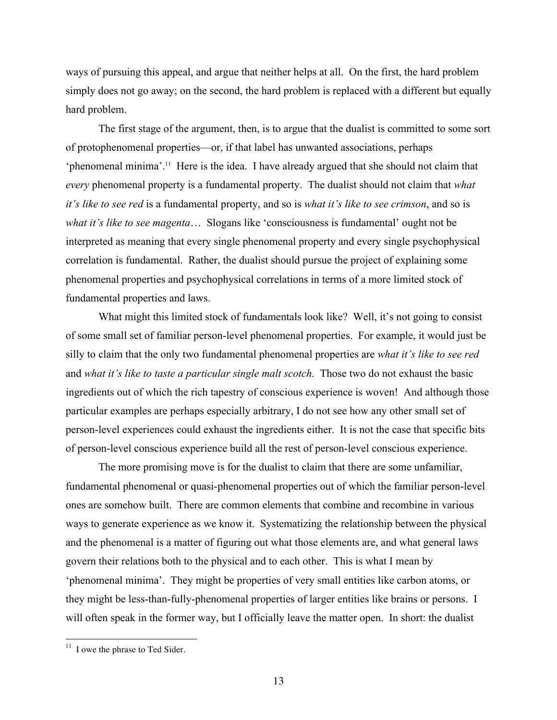ways of pursuing this appeal, and argue that neither helps at all. On the first, the hard problem simply does not go away; on the second, the hard problem is replaced with a different but equally hard problem.

The first stage of the argument, then, is to argue that the dualist is committed to some sort of protophenomenal properties—or, if that label has unwanted associations, perhaps 'phenomenal minima'.11 Here is the idea. I have already argued that she should not claim that *every* phenomenal property is a fundamental property. The dualist should not claim that *what it's like to see red* is a fundamental property, and so is *what it's like to see crimson*, and so is *what it's like to see magenta*… Slogans like 'consciousness is fundamental' ought not be interpreted as meaning that every single phenomenal property and every single psychophysical correlation is fundamental. Rather, the dualist should pursue the project of explaining some phenomenal properties and psychophysical correlations in terms of a more limited stock of fundamental properties and laws.

What might this limited stock of fundamentals look like? Well, it's not going to consist of some small set of familiar person-level phenomenal properties. For example, it would just be silly to claim that the only two fundamental phenomenal properties are *what it's like to see red*  and *what it's like to taste a particular single malt scotch*. Those two do not exhaust the basic ingredients out of which the rich tapestry of conscious experience is woven! And although those particular examples are perhaps especially arbitrary, I do not see how any other small set of person-level experiences could exhaust the ingredients either. It is not the case that specific bits of person-level conscious experience build all the rest of person-level conscious experience.

The more promising move is for the dualist to claim that there are some unfamiliar, fundamental phenomenal or quasi-phenomenal properties out of which the familiar person-level ones are somehow built. There are common elements that combine and recombine in various ways to generate experience as we know it. Systematizing the relationship between the physical and the phenomenal is a matter of figuring out what those elements are, and what general laws govern their relations both to the physical and to each other. This is what I mean by 'phenomenal minima'. They might be properties of very small entities like carbon atoms, or they might be less-than-fully-phenomenal properties of larger entities like brains or persons. I will often speak in the former way, but I officially leave the matter open. In short: the dualist

 $11$  I owe the phrase to Ted Sider.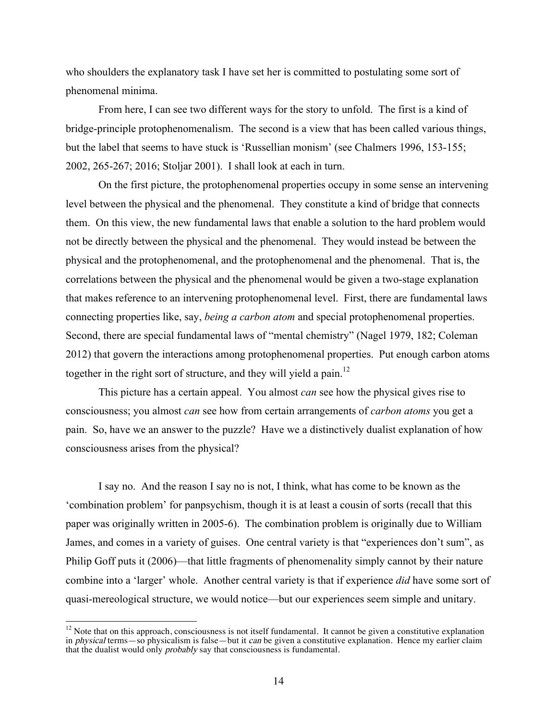who shoulders the explanatory task I have set her is committed to postulating some sort of phenomenal minima.

From here, I can see two different ways for the story to unfold. The first is a kind of bridge-principle protophenomenalism. The second is a view that has been called various things, but the label that seems to have stuck is 'Russellian monism' (see Chalmers 1996, 153-155; 2002, 265-267; 2016; Stoljar 2001). I shall look at each in turn.

On the first picture, the protophenomenal properties occupy in some sense an intervening level between the physical and the phenomenal. They constitute a kind of bridge that connects them. On this view, the new fundamental laws that enable a solution to the hard problem would not be directly between the physical and the phenomenal. They would instead be between the physical and the protophenomenal, and the protophenomenal and the phenomenal. That is, the correlations between the physical and the phenomenal would be given a two-stage explanation that makes reference to an intervening protophenomenal level. First, there are fundamental laws connecting properties like, say, *being a carbon atom* and special protophenomenal properties. Second, there are special fundamental laws of "mental chemistry" (Nagel 1979, 182; Coleman 2012) that govern the interactions among protophenomenal properties. Put enough carbon atoms together in the right sort of structure, and they will yield a pain.<sup>12</sup>

This picture has a certain appeal. You almost *can* see how the physical gives rise to consciousness; you almost *can* see how from certain arrangements of *carbon atoms* you get a pain. So, have we an answer to the puzzle? Have we a distinctively dualist explanation of how consciousness arises from the physical?

I say no. And the reason I say no is not, I think, what has come to be known as the 'combination problem' for panpsychism, though it is at least a cousin of sorts (recall that this paper was originally written in 2005-6). The combination problem is originally due to William James, and comes in a variety of guises. One central variety is that "experiences don't sum", as Philip Goff puts it (2006)—that little fragments of phenomenality simply cannot by their nature combine into a 'larger' whole. Another central variety is that if experience *did* have some sort of quasi-mereological structure, we would notice—but our experiences seem simple and unitary.

 $12$  Note that on this approach, consciousness is not itself fundamental. It cannot be given a constitutive explanation in *physical* terms—so physicalism is false—but it *can* be given a constitutive explanation. Hence my earlier claim that the dualist would only *probably* say that consciousness is fundamental.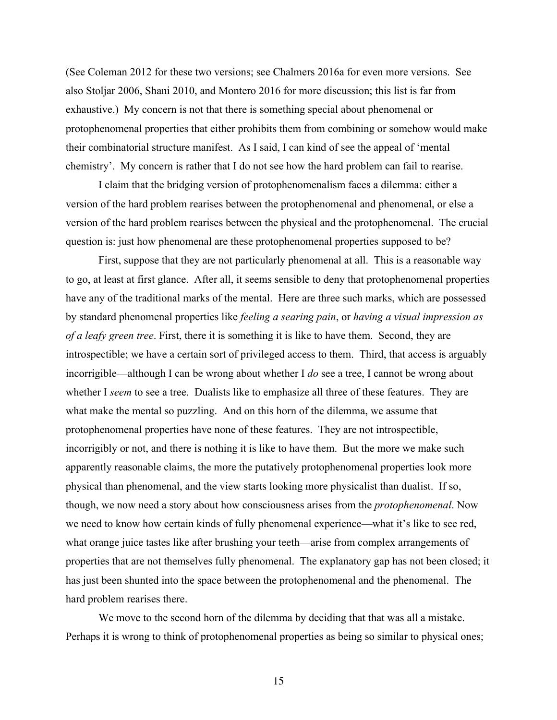(See Coleman 2012 for these two versions; see Chalmers 2016a for even more versions. See also Stoljar 2006, Shani 2010, and Montero 2016 for more discussion; this list is far from exhaustive.) My concern is not that there is something special about phenomenal or protophenomenal properties that either prohibits them from combining or somehow would make their combinatorial structure manifest. As I said, I can kind of see the appeal of 'mental chemistry'. My concern is rather that I do not see how the hard problem can fail to rearise.

I claim that the bridging version of protophenomenalism faces a dilemma: either a version of the hard problem rearises between the protophenomenal and phenomenal, or else a version of the hard problem rearises between the physical and the protophenomenal. The crucial question is: just how phenomenal are these protophenomenal properties supposed to be?

First, suppose that they are not particularly phenomenal at all. This is a reasonable way to go, at least at first glance. After all, it seems sensible to deny that protophenomenal properties have any of the traditional marks of the mental. Here are three such marks, which are possessed by standard phenomenal properties like *feeling a searing pain*, or *having a visual impression as of a leafy green tree*. First, there it is something it is like to have them. Second, they are introspectible; we have a certain sort of privileged access to them. Third, that access is arguably incorrigible—although I can be wrong about whether I *do* see a tree, I cannot be wrong about whether I *seem* to see a tree. Dualists like to emphasize all three of these features. They are what make the mental so puzzling. And on this horn of the dilemma, we assume that protophenomenal properties have none of these features. They are not introspectible, incorrigibly or not, and there is nothing it is like to have them. But the more we make such apparently reasonable claims, the more the putatively protophenomenal properties look more physical than phenomenal, and the view starts looking more physicalist than dualist. If so, though, we now need a story about how consciousness arises from the *protophenomenal*. Now we need to know how certain kinds of fully phenomenal experience—what it's like to see red, what orange juice tastes like after brushing your teeth—arise from complex arrangements of properties that are not themselves fully phenomenal. The explanatory gap has not been closed; it has just been shunted into the space between the protophenomenal and the phenomenal. The hard problem rearises there.

We move to the second horn of the dilemma by deciding that that was all a mistake. Perhaps it is wrong to think of protophenomenal properties as being so similar to physical ones;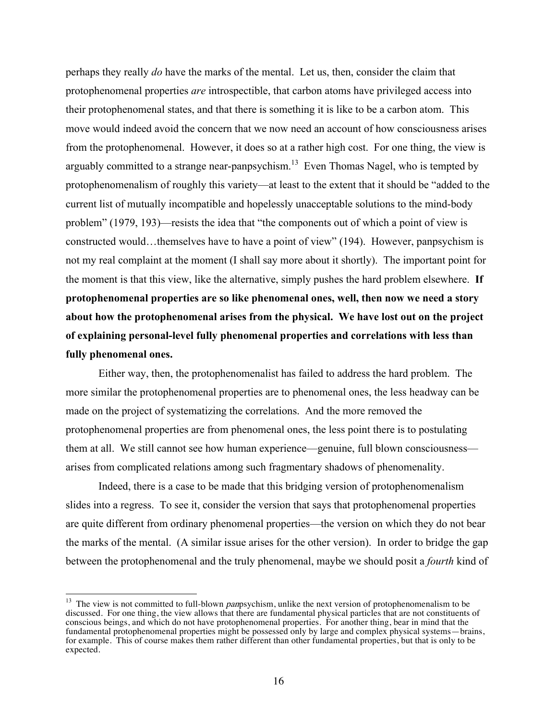perhaps they really *do* have the marks of the mental. Let us, then, consider the claim that protophenomenal properties *are* introspectible, that carbon atoms have privileged access into their protophenomenal states, and that there is something it is like to be a carbon atom. This move would indeed avoid the concern that we now need an account of how consciousness arises from the protophenomenal. However, it does so at a rather high cost. For one thing, the view is arguably committed to a strange near-panpsychism.<sup>13</sup> Even Thomas Nagel, who is tempted by protophenomenalism of roughly this variety—at least to the extent that it should be "added to the current list of mutually incompatible and hopelessly unacceptable solutions to the mind-body problem" (1979, 193)—resists the idea that "the components out of which a point of view is constructed would…themselves have to have a point of view" (194). However, panpsychism is not my real complaint at the moment (I shall say more about it shortly). The important point for the moment is that this view, like the alternative, simply pushes the hard problem elsewhere. **If protophenomenal properties are so like phenomenal ones, well, then now we need a story about how the protophenomenal arises from the physical. We have lost out on the project of explaining personal-level fully phenomenal properties and correlations with less than fully phenomenal ones.** 

Either way, then, the protophenomenalist has failed to address the hard problem. The more similar the protophenomenal properties are to phenomenal ones, the less headway can be made on the project of systematizing the correlations. And the more removed the protophenomenal properties are from phenomenal ones, the less point there is to postulating them at all. We still cannot see how human experience—genuine, full blown consciousness arises from complicated relations among such fragmentary shadows of phenomenality.

Indeed, there is a case to be made that this bridging version of protophenomenalism slides into a regress. To see it, consider the version that says that protophenomenal properties are quite different from ordinary phenomenal properties—the version on which they do not bear the marks of the mental. (A similar issue arises for the other version). In order to bridge the gap between the protophenomenal and the truly phenomenal, maybe we should posit a *fourth* kind of

 $13$  The view is not committed to full-blown *pan*psychism, unlike the next version of protophenomenalism to be discussed. For one thing, the view allows that there are fundamental physical particles that are not constituents of conscious beings, and which do not have protophenomenal properties. For another thing, bear in mind that the fundamental protophenomenal properties might be possessed only by large and complex physical systems—brains, for example. This of course makes them rather different than other fundamental properties, but that is only to be expected.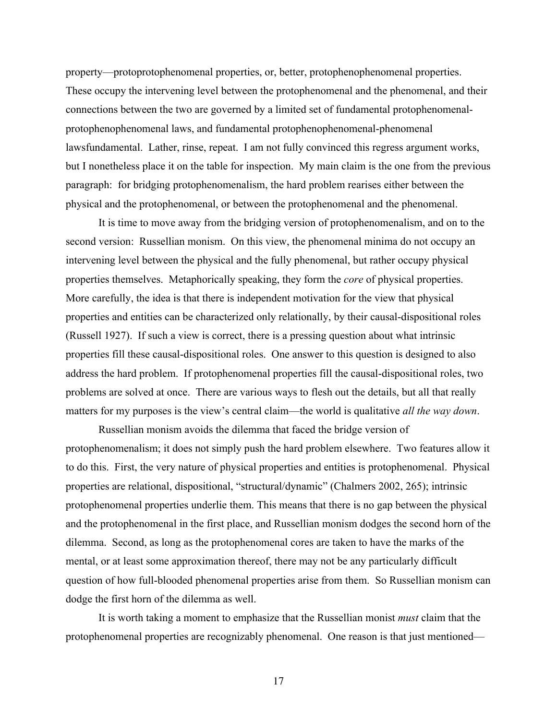property—protoprotophenomenal properties, or, better, protophenophenomenal properties. These occupy the intervening level between the protophenomenal and the phenomenal, and their connections between the two are governed by a limited set of fundamental protophenomenalprotophenophenomenal laws, and fundamental protophenophenomenal-phenomenal lawsfundamental. Lather, rinse, repeat. I am not fully convinced this regress argument works, but I nonetheless place it on the table for inspection. My main claim is the one from the previous paragraph: for bridging protophenomenalism, the hard problem rearises either between the physical and the protophenomenal, or between the protophenomenal and the phenomenal.

It is time to move away from the bridging version of protophenomenalism, and on to the second version: Russellian monism. On this view, the phenomenal minima do not occupy an intervening level between the physical and the fully phenomenal, but rather occupy physical properties themselves. Metaphorically speaking, they form the *core* of physical properties. More carefully, the idea is that there is independent motivation for the view that physical properties and entities can be characterized only relationally, by their causal-dispositional roles (Russell 1927). If such a view is correct, there is a pressing question about what intrinsic properties fill these causal-dispositional roles. One answer to this question is designed to also address the hard problem. If protophenomenal properties fill the causal-dispositional roles, two problems are solved at once. There are various ways to flesh out the details, but all that really matters for my purposes is the view's central claim—the world is qualitative *all the way down*.

Russellian monism avoids the dilemma that faced the bridge version of protophenomenalism; it does not simply push the hard problem elsewhere. Two features allow it to do this. First, the very nature of physical properties and entities is protophenomenal. Physical properties are relational, dispositional, "structural/dynamic" (Chalmers 2002, 265); intrinsic protophenomenal properties underlie them. This means that there is no gap between the physical and the protophenomenal in the first place, and Russellian monism dodges the second horn of the dilemma. Second, as long as the protophenomenal cores are taken to have the marks of the mental, or at least some approximation thereof, there may not be any particularly difficult question of how full-blooded phenomenal properties arise from them. So Russellian monism can dodge the first horn of the dilemma as well.

It is worth taking a moment to emphasize that the Russellian monist *must* claim that the protophenomenal properties are recognizably phenomenal. One reason is that just mentioned—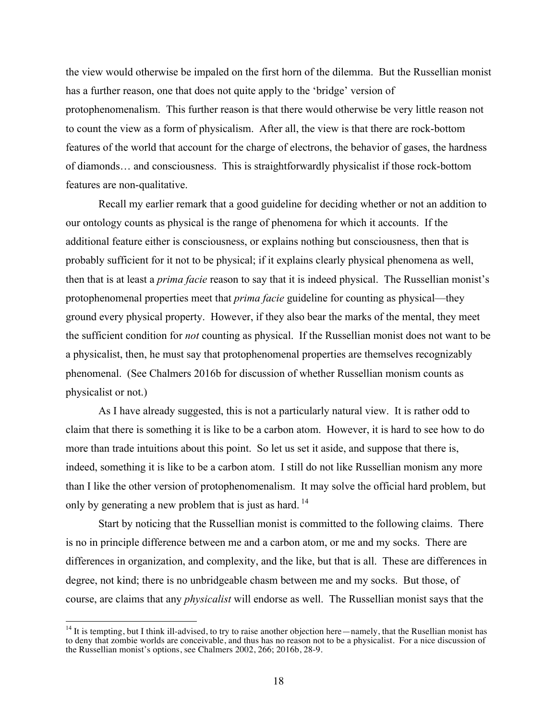the view would otherwise be impaled on the first horn of the dilemma. But the Russellian monist has a further reason, one that does not quite apply to the 'bridge' version of protophenomenalism. This further reason is that there would otherwise be very little reason not to count the view as a form of physicalism. After all, the view is that there are rock-bottom features of the world that account for the charge of electrons, the behavior of gases, the hardness of diamonds… and consciousness. This is straightforwardly physicalist if those rock-bottom features are non-qualitative.

Recall my earlier remark that a good guideline for deciding whether or not an addition to our ontology counts as physical is the range of phenomena for which it accounts. If the additional feature either is consciousness, or explains nothing but consciousness, then that is probably sufficient for it not to be physical; if it explains clearly physical phenomena as well, then that is at least a *prima facie* reason to say that it is indeed physical. The Russellian monist's protophenomenal properties meet that *prima facie* guideline for counting as physical—they ground every physical property. However, if they also bear the marks of the mental, they meet the sufficient condition for *not* counting as physical. If the Russellian monist does not want to be a physicalist, then, he must say that protophenomenal properties are themselves recognizably phenomenal. (See Chalmers 2016b for discussion of whether Russellian monism counts as physicalist or not.)

As I have already suggested, this is not a particularly natural view. It is rather odd to claim that there is something it is like to be a carbon atom. However, it is hard to see how to do more than trade intuitions about this point. So let us set it aside, and suppose that there is, indeed, something it is like to be a carbon atom. I still do not like Russellian monism any more than I like the other version of protophenomenalism. It may solve the official hard problem, but only by generating a new problem that is just as hard.<sup>14</sup>

Start by noticing that the Russellian monist is committed to the following claims. There is no in principle difference between me and a carbon atom, or me and my socks. There are differences in organization, and complexity, and the like, but that is all. These are differences in degree, not kind; there is no unbridgeable chasm between me and my socks. But those, of course, are claims that any *physicalist* will endorse as well. The Russellian monist says that the

 $14$  It is tempting, but I think ill-advised, to try to raise another objection here—namely, that the Rusellian monist has to deny that zombie worlds are conceivable, and thus has no reason not to be a physicalist. For a nice discussion of the Russellian monist's options, see Chalmers 2002, 266; 2016b, 28-9.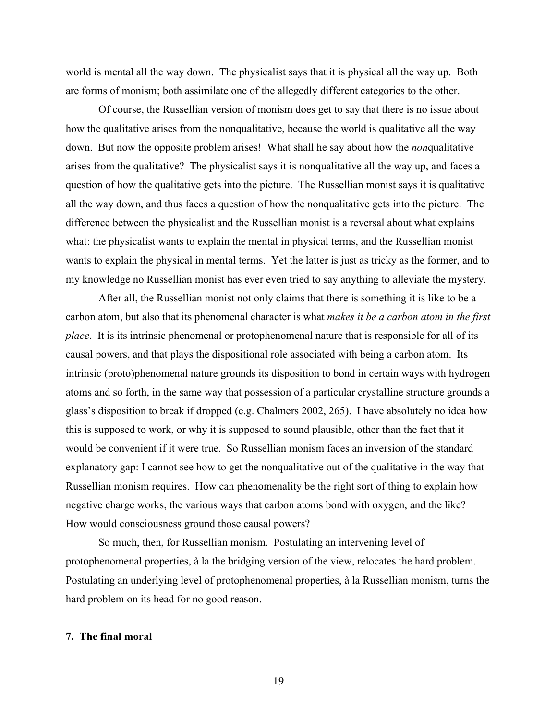world is mental all the way down. The physicalist says that it is physical all the way up. Both are forms of monism; both assimilate one of the allegedly different categories to the other.

Of course, the Russellian version of monism does get to say that there is no issue about how the qualitative arises from the nonqualitative, because the world is qualitative all the way down. But now the opposite problem arises! What shall he say about how the *non*qualitative arises from the qualitative? The physicalist says it is nonqualitative all the way up, and faces a question of how the qualitative gets into the picture. The Russellian monist says it is qualitative all the way down, and thus faces a question of how the nonqualitative gets into the picture. The difference between the physicalist and the Russellian monist is a reversal about what explains what: the physicalist wants to explain the mental in physical terms, and the Russellian monist wants to explain the physical in mental terms. Yet the latter is just as tricky as the former, and to my knowledge no Russellian monist has ever even tried to say anything to alleviate the mystery.

After all, the Russellian monist not only claims that there is something it is like to be a carbon atom, but also that its phenomenal character is what *makes it be a carbon atom in the first place*. It is its intrinsic phenomenal or protophenomenal nature that is responsible for all of its causal powers, and that plays the dispositional role associated with being a carbon atom. Its intrinsic (proto)phenomenal nature grounds its disposition to bond in certain ways with hydrogen atoms and so forth, in the same way that possession of a particular crystalline structure grounds a glass's disposition to break if dropped (e.g. Chalmers 2002, 265). I have absolutely no idea how this is supposed to work, or why it is supposed to sound plausible, other than the fact that it would be convenient if it were true. So Russellian monism faces an inversion of the standard explanatory gap: I cannot see how to get the nonqualitative out of the qualitative in the way that Russellian monism requires. How can phenomenality be the right sort of thing to explain how negative charge works, the various ways that carbon atoms bond with oxygen, and the like? How would consciousness ground those causal powers?

So much, then, for Russellian monism. Postulating an intervening level of protophenomenal properties, à la the bridging version of the view, relocates the hard problem. Postulating an underlying level of protophenomenal properties, à la Russellian monism, turns the hard problem on its head for no good reason.

## **7. The final moral**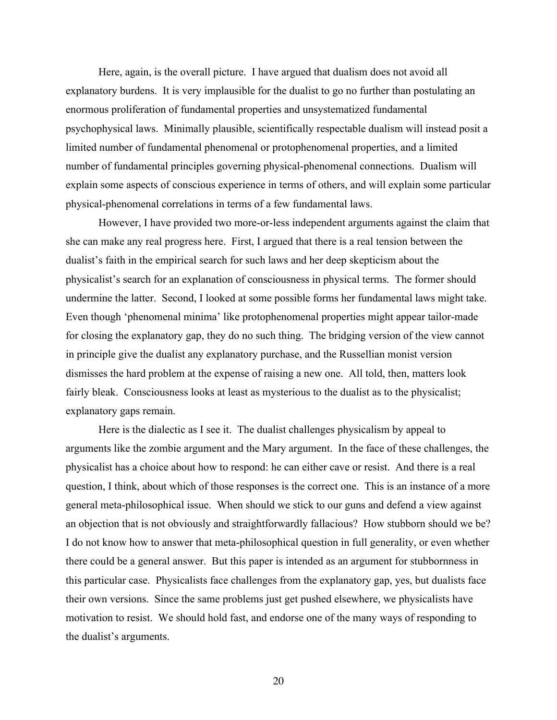Here, again, is the overall picture. I have argued that dualism does not avoid all explanatory burdens. It is very implausible for the dualist to go no further than postulating an enormous proliferation of fundamental properties and unsystematized fundamental psychophysical laws. Minimally plausible, scientifically respectable dualism will instead posit a limited number of fundamental phenomenal or protophenomenal properties, and a limited number of fundamental principles governing physical-phenomenal connections. Dualism will explain some aspects of conscious experience in terms of others, and will explain some particular physical-phenomenal correlations in terms of a few fundamental laws.

However, I have provided two more-or-less independent arguments against the claim that she can make any real progress here. First, I argued that there is a real tension between the dualist's faith in the empirical search for such laws and her deep skepticism about the physicalist's search for an explanation of consciousness in physical terms. The former should undermine the latter. Second, I looked at some possible forms her fundamental laws might take. Even though 'phenomenal minima' like protophenomenal properties might appear tailor-made for closing the explanatory gap, they do no such thing. The bridging version of the view cannot in principle give the dualist any explanatory purchase, and the Russellian monist version dismisses the hard problem at the expense of raising a new one. All told, then, matters look fairly bleak. Consciousness looks at least as mysterious to the dualist as to the physicalist; explanatory gaps remain.

Here is the dialectic as I see it. The dualist challenges physicalism by appeal to arguments like the zombie argument and the Mary argument. In the face of these challenges, the physicalist has a choice about how to respond: he can either cave or resist. And there is a real question, I think, about which of those responses is the correct one. This is an instance of a more general meta-philosophical issue. When should we stick to our guns and defend a view against an objection that is not obviously and straightforwardly fallacious? How stubborn should we be? I do not know how to answer that meta-philosophical question in full generality, or even whether there could be a general answer. But this paper is intended as an argument for stubbornness in this particular case. Physicalists face challenges from the explanatory gap, yes, but dualists face their own versions. Since the same problems just get pushed elsewhere, we physicalists have motivation to resist. We should hold fast, and endorse one of the many ways of responding to the dualist's arguments.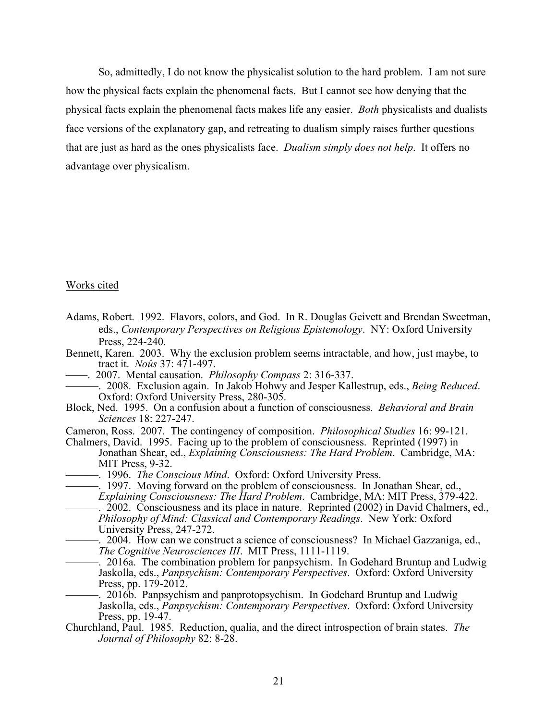So, admittedly, I do not know the physicalist solution to the hard problem. I am not sure how the physical facts explain the phenomenal facts. But I cannot see how denying that the physical facts explain the phenomenal facts makes life any easier. *Both* physicalists and dualists face versions of the explanatory gap, and retreating to dualism simply raises further questions that are just as hard as the ones physicalists face. *Dualism simply does not help*. It offers no advantage over physicalism.

### Works cited

- Adams, Robert. 1992. Flavors, colors, and God. In R. Douglas Geivett and Brendan Sweetman, eds., *Contemporary Perspectives on Religious Epistemology*. NY: Oxford University Press, 224-240.
- Bennett, Karen. 2003. Why the exclusion problem seems intractable, and how, just maybe, to tract it. *Noûs* 37: 471-497.<br>
— 2007. Mental causation. *Philosophy Compass* 2: 316-337.
- 
- ——. 2007. Mental causation. *Philosophy Compass* 2: 316-337. ———. 2008. Exclusion again. In Jakob Hohwy and Jesper Kallestrup, eds., *Being Reduced*. Oxford: Oxford University Press, 280-305.
- Block, Ned. 1995. On a confusion about a function of consciousness. *Behavioral and Brain Sciences* 18: 227-247.
- Cameron, Ross. 2007. The contingency of composition. *Philosophical Studies* 16: 99-121.
- Chalmers, David. 1995. Facing up to the problem of consciousness. Reprinted (1997) in Jonathan Shear, ed., *Explaining Consciousness: The Hard Problem*. Cambridge, MA: MIT Press, 9-32.<br>
—. 1996. *The Conscious Mind*. Oxford: Oxford University Press.
	-
- ——. 1997. Moving forward on the problem of consciousness. In Jonathan Shear, ed., *Explaining Consciousness: The Hard Problem.* Cambridge, MA: MIT Press, 379-422.
- *Explaining Consciousness: The Hard Problem*. Cambridge, MA: MIT Press, 379-422. ———. 2002. Consciousness and its place in nature. Reprinted (2002) in David Chalmers, ed., *Philosophy of Mind: Classical and Contemporary Readings. New York: Oxford University Press, 247-272.* 
	- -. 2004. How can we construct a science of consciousness? In Michael Gazzaniga, ed., *The Cognitive Neurosciences III*. MIT Press, 1111-1119.
	- <sup>-</sup>. 2016a. The combination problem for panpsychism. In Godehard Bruntup and Ludwig Jaskolla, eds., *Panpsychism: Contemporary Perspectives*. Oxford: Oxford University Press, pp. 179-2012.<br>-. 2016b. Panpsychism and panprotopsychism. In Godehard Bruntup and Ludwig
- Jaskolla, eds., *Panpsychism: Contemporary Perspectives*. Oxford: Oxford University Press, pp. 19-47.
- Churchland, Paul. 1985. Reduction, qualia, and the direct introspection of brain states. *The Journal of Philosophy* 82: 8-28.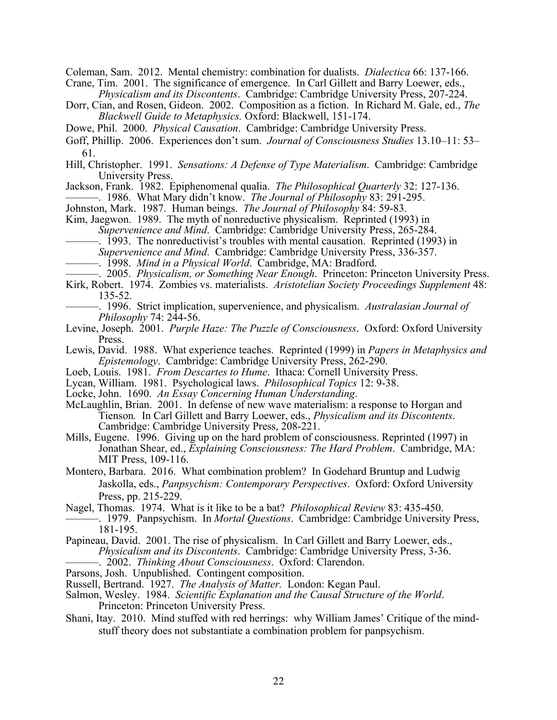Coleman, Sam. 2012. Mental chemistry: combination for dualists. *Dialectica* 66: 137-166.

- Crane, Tim. 2001. The significance of emergence. In Carl Gillett and Barry Loewer, eds., *Physicalism and its Discontents*. Cambridge: Cambridge University Press, 207-224.
- Dorr, Cian, and Rosen, Gideon. 2002. Composition as a fiction. In Richard M. Gale, ed., *The Blackwell Guide to Metaphysics.* Oxford: Blackwell, 151-174.
- Dowe, Phil. 2000. *Physical Causation*. Cambridge: Cambridge University Press.
- Goff, Phillip. 2006. Experiences don't sum. *Journal of Consciousness Studies* 13.10–11: 53– 61.
- Hill, Christopher. 1991. *Sensations: A Defense of Type Materialism*. Cambridge: Cambridge University Press.

Jackson, Frank. 1982. Epiphenomenal qualia. *The Philosophical Quarterly* 32: 127-136.

———. 1986. What Mary didn't know. *The Journal of Philosophy* 83: 291-295.

Johnston, Mark. 1987. Human beings. *The Journal of Philosophy* 84: 59-83.

Kim, Jaegwon. 1989. The myth of nonreductive physicalism. Reprinted (1993) in *Supervenience and Mind*. Cambridge: Cambridge University Press, 265-284.

- ———. 1993. The nonreductivist's troubles with mental causation. Reprinted (1993) in *Supervenience and Mind*. Cambridge: Cambridge University Press, 336-357.
	- ———. 1998. *Mind in a Physical World*. Cambridge, MA: Bradford.
- ———. 2005. *Physicalism, or Something Near Enough*. Princeton: Princeton University Press.
- Kirk, Robert. 1974. Zombies vs. materialists. *Aristotelian Society Proceedings Supplement* 48: 135-52.
	- ———. 1996. Strict implication, supervenience, and physicalism. *Australasian Journal of Philosophy* 74: 244-56.
- Levine, Joseph. 2001. *Purple Haze: The Puzzle of Consciousness*. Oxford: Oxford University Press.
- Lewis, David. 1988. What experience teaches. Reprinted (1999) in *Papers in Metaphysics and Epistemology*. Cambridge: Cambridge University Press, 262-290.
- Loeb, Louis. 1981. *From Descartes to Hume*. Ithaca: Cornell University Press.
- Lycan, William. 1981. Psychological laws. *Philosophical Topics* 12: 9-38.
- Locke, John. 1690. *An Essay Concerning Human Understanding*.
- McLaughlin, Brian. 2001. In defense of new wave materialism: a response to Horgan and Tienson*.* In Carl Gillett and Barry Loewer, eds., *Physicalism and its Discontents*. Cambridge: Cambridge University Press, 208-221.
- Mills, Eugene. 1996. Giving up on the hard problem of consciousness. Reprinted (1997) in Jonathan Shear, ed., *Explaining Consciousness: The Hard Problem*. Cambridge, MA: MIT Press, 109-116.
- Montero, Barbara. 2016. What combination problem? In Godehard Bruntup and Ludwig Jaskolla, eds., *Panpsychism: Contemporary Perspectives*. Oxford: Oxford University Press, pp. 215-229.

- Nagel, Thomas. 1974. What is it like to be a bat? *Philosophical Review* 83: 435-450. ———. 1979. Panpsychism. In *Mortal Questions*. Cambridge: Cambridge University Press, 181-195.
- Papineau, David. 2001. The rise of physicalism. In Carl Gillett and Barry Loewer, eds., *Physicalism and its Discontents. Cambridge: Cambridge University Press, 3-36.*  $-2002$ . *Thinking About Consciousness. Oxford: Clarendon.*
- Parsons, Josh. Unpublished. Contingent composition.
- Russell, Bertrand. 1927. *The Analysis of Matter.* London: Kegan Paul.
- Salmon, Wesley. 1984. *Scientific Explanation and the Causal Structure of the World*. Princeton: Princeton University Press.
- Shani, Itay. 2010. Mind stuffed with red herrings: why William James' Critique of the mindstuff theory does not substantiate a combination problem for panpsychism.